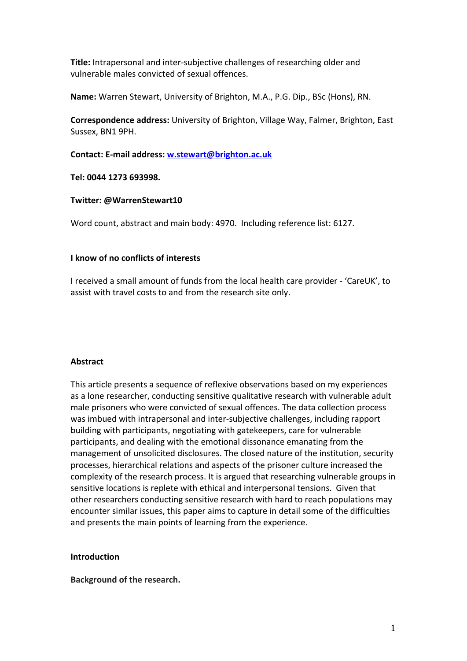**Title:** Intrapersonal and inter-subjective challenges of researching older and vulnerable males convicted of sexual offences.

**Name:** Warren Stewart, University of Brighton, M.A., P.G. Dip., BSc (Hons), RN.

**Correspondence address:** University of Brighton, Village Way, Falmer, Brighton, East Sussex, BN1 9PH.

**Contact: E-mail address: [w.stewart@brighton.ac.uk](mailto:w.stewart@brighton.ac.uk)**

**Tel: 0044 1273 693998.**

# **Twitter: @WarrenStewart10**

Word count, abstract and main body: 4970. Including reference list: 6127.

# **I know of no conflicts of interests**

I received a small amount of funds from the local health care provider - 'CareUK', to assist with travel costs to and from the research site only.

## **Abstract**

This article presents a sequence of reflexive observations based on my experiences as a lone researcher, conducting sensitive qualitative research with vulnerable adult male prisoners who were convicted of sexual offences. The data collection process was imbued with intrapersonal and inter-subjective challenges, including rapport building with participants, negotiating with gatekeepers, care for vulnerable participants, and dealing with the emotional dissonance emanating from the management of unsolicited disclosures. The closed nature of the institution, security processes, hierarchical relations and aspects of the prisoner culture increased the complexity of the research process. It is argued that researching vulnerable groups in sensitive locations is replete with ethical and interpersonal tensions. Given that other researchers conducting sensitive research with hard to reach populations may encounter similar issues, this paper aims to capture in detail some of the difficulties and presents the main points of learning from the experience.

# **Introduction**

**Background of the research.**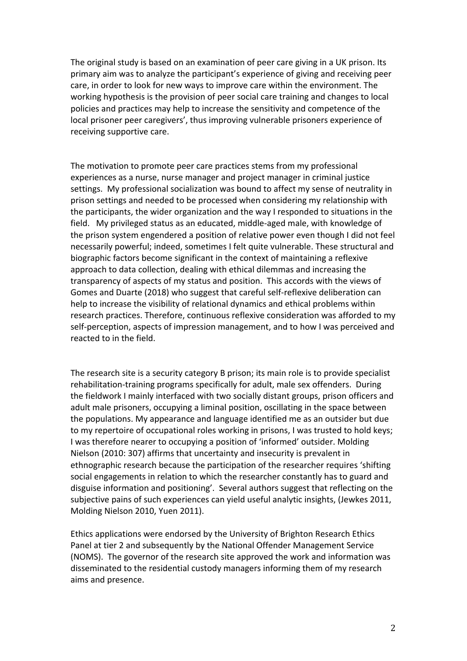The original study is based on an examination of peer care giving in a UK prison. Its primary aim was to analyze the participant's experience of giving and receiving peer care, in order to look for new ways to improve care within the environment. The working hypothesis is the provision of peer social care training and changes to local policies and practices may help to increase the sensitivity and competence of the local prisoner peer caregivers', thus improving vulnerable prisoners experience of receiving supportive care.

The motivation to promote peer care practices stems from my professional experiences as a nurse, nurse manager and project manager in criminal justice settings. My professional socialization was bound to affect my sense of neutrality in prison settings and needed to be processed when considering my relationship with the participants, the wider organization and the way I responded to situations in the field. My privileged status as an educated, middle-aged male, with knowledge of the prison system engendered a position of relative power even though I did not feel necessarily powerful; indeed, sometimes I felt quite vulnerable. These structural and biographic factors become significant in the context of maintaining a reflexive approach to data collection, dealing with ethical dilemmas and increasing the transparency of aspects of my status and position. This accords with the views of Gomes and Duarte (2018) who suggest that careful self-reflexive deliberation can help to increase the visibility of relational dynamics and ethical problems within research practices. Therefore, continuous reflexive consideration was afforded to my self-perception, aspects of impression management, and to how I was perceived and reacted to in the field.

The research site is a security category B prison; its main role is to provide specialist rehabilitation-training programs specifically for adult, male sex offenders. During the fieldwork I mainly interfaced with two socially distant groups, prison officers and adult male prisoners, occupying a liminal position, oscillating in the space between the populations. My appearance and language identified me as an outsider but due to my repertoire of occupational roles working in prisons, I was trusted to hold keys; I was therefore nearer to occupying a position of 'informed' outsider. Molding Nielson (2010: 307) affirms that uncertainty and insecurity is prevalent in ethnographic research because the participation of the researcher requires 'shifting social engagements in relation to which the researcher constantly has to guard and disguise information and positioning'. Several authors suggest that reflecting on the subjective pains of such experiences can yield useful analytic insights, (Jewkes 2011, Molding Nielson 2010, Yuen 2011).

Ethics applications were endorsed by the University of Brighton Research Ethics Panel at tier 2 and subsequently by the National Offender Management Service (NOMS). The governor of the research site approved the work and information was disseminated to the residential custody managers informing them of my research aims and presence.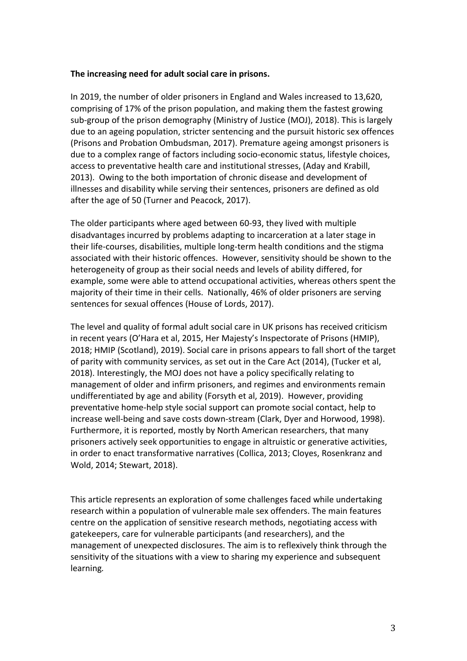## **The increasing need for adult social care in prisons.**

In 2019, the number of older prisoners in England and Wales increased to 13,620, comprising of 17% of the prison population, and making them the fastest growing sub-group of the prison demography (Ministry of Justice (MOJ), 2018). This is largely due to an ageing population, stricter sentencing and the pursuit historic sex offences (Prisons and Probation Ombudsman, 2017). Premature ageing amongst prisoners is due to a complex range of factors including socio-economic status, lifestyle choices, access to preventative health care and institutional stresses, (Aday and Krabill, 2013). Owing to the both importation of chronic disease and development of illnesses and disability while serving their sentences, prisoners are defined as old after the age of 50 (Turner and Peacock, 2017).

The older participants where aged between 60-93, they lived with multiple disadvantages incurred by problems adapting to incarceration at a later stage in their life-courses, disabilities, multiple long-term health conditions and the stigma associated with their historic offences. However, sensitivity should be shown to the heterogeneity of group as their social needs and levels of ability differed, for example, some were able to attend occupational activities, whereas others spent the majority of their time in their cells. Nationally, 46% of older prisoners are serving sentences for sexual offences (House of Lords, 2017).

The level and quality of formal adult social care in UK prisons has received criticism in recent years (O'Hara et al, 2015, Her Majesty's Inspectorate of Prisons (HMIP), 2018; HMIP (Scotland), 2019). Social care in prisons appears to fall short of the target of parity with community services, as set out in the Care Act (2014), (Tucker et al, 2018). Interestingly, the MOJ does not have a policy specifically relating to management of older and infirm prisoners, and regimes and environments remain undifferentiated by age and ability (Forsyth et al, 2019). However, providing preventative home-help style social support can promote social contact, help to increase well-being and save costs down-stream (Clark, Dyer and Horwood, 1998). Furthermore, it is reported, mostly by North American researchers, that many prisoners actively seek opportunities to engage in altruistic or generative activities, in order to enact transformative narratives (Collica, 2013; Cloyes, Rosenkranz and Wold, 2014; Stewart, 2018).

This article represents an exploration of some challenges faced while undertaking research within a population of vulnerable male sex offenders. The main features centre on the application of sensitive research methods, negotiating access with gatekeepers, care for vulnerable participants (and researchers), and the management of unexpected disclosures. The aim is to reflexively think through the sensitivity of the situations with a view to sharing my experience and subsequent learning*.*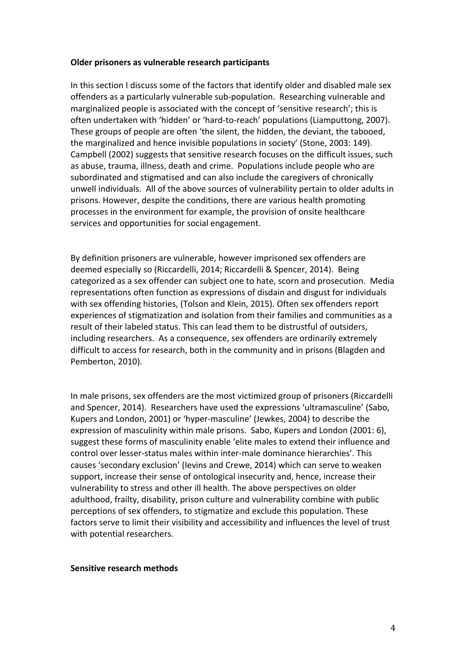#### **Older prisoners as vulnerable research participants**

In this section I discuss some of the factors that identify older and disabled male sex offenders as a particularly vulnerable sub-population. Researching vulnerable and marginalized people is associated with the concept of 'sensitive research'; this is often undertaken with 'hidden' or 'hard-to-reach' populations (Liamputtong, 2007). These groups of people are often 'the silent, the hidden, the deviant, the tabooed, the marginalized and hence invisible populations in society' (Stone, 2003: 149). Campbell (2002) suggests that sensitive research focuses on the difficult issues, such as abuse, trauma, illness, death and crime. Populations include people who are subordinated and stigmatised and can also include the caregivers of chronically unwell individuals. All of the above sources of vulnerability pertain to older adults in prisons. However, despite the conditions, there are various health promoting processes in the environment for example, the provision of onsite healthcare services and opportunities for social engagement.

By definition prisoners are vulnerable, however imprisoned sex offenders are deemed especially so (Riccardelli, 2014; Riccardelli & Spencer, 2014). Being categorized as a sex offender can subject one to hate, scorn and prosecution. Media representations often function as expressions of disdain and disgust for individuals with sex offending histories, (Tolson and Klein, 2015). Often sex offenders report experiences of stigmatization and isolation from their families and communities as a result of their labeled status. This can lead them to be distrustful of outsiders, including researchers. As a consequence, sex offenders are ordinarily extremely difficult to access for research, both in the community and in prisons (Blagden and Pemberton, 2010).

In male prisons, sex offenders are the most victimized group of prisoners (Riccardelli and Spencer, 2014). Researchers have used the expressions 'ultramasculine' (Sabo, Kupers and London, 2001) or 'hyper-masculine' (Jewkes, 2004) to describe the expression of masculinity within male prisons. Sabo, Kupers and London (2001: 6), suggest these forms of masculinity enable 'elite males to extend their influence and control over lesser-status males within inter-male dominance hierarchies'. This causes 'secondary exclusion' (Ievins and Crewe, 2014) which can serve to weaken support, increase their sense of ontological insecurity and, hence, increase their vulnerability to stress and other ill health. The above perspectives on older adulthood, frailty, disability, prison culture and vulnerability combine with public perceptions of sex offenders, to stigmatize and exclude this population. These factors serve to limit their visibility and accessibility and influences the level of trust with potential researchers.

#### **Sensitive research methods**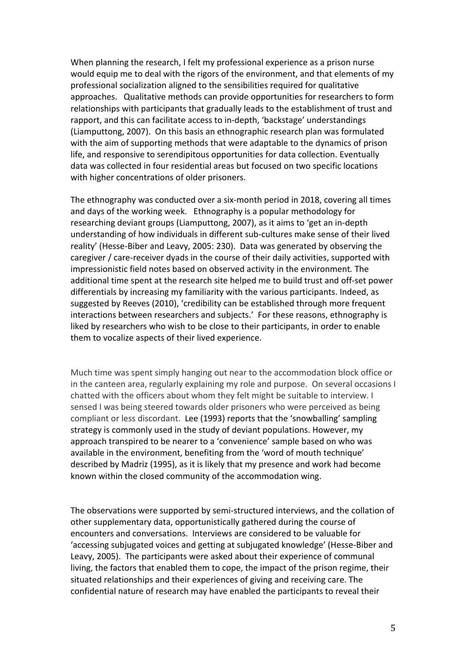When planning the research, I felt my professional experience as a prison nurse would equip me to deal with the rigors of the environment, and that elements of my professional socialization aligned to the sensibilities required for qualitative approaches. Qualitative methods can provide opportunities for researchers to form relationships with participants that gradually leads to the establishment of trust and rapport, and this can facilitate access to in-depth, 'backstage' understandings (Liamputtong, 2007). On this basis an ethnographic research plan was formulated with the aim of supporting methods that were adaptable to the dynamics of prison life, and responsive to serendipitous opportunities for data collection. Eventually data was collected in four residential areas but focused on two specific locations with higher concentrations of older prisoners.

The ethnography was conducted over a six-month period in 2018, covering all times and days of the working week. Ethnography is a popular methodology for researching deviant groups (Liamputtong, 2007), as it aims to 'get an in-depth understanding of how individuals in different sub-cultures make sense of their lived reality' (Hesse-Biber and Leavy, 2005: 230). Data was generated by observing the caregiver / care-receiver dyads in the course of their daily activities, supported with impressionistic field notes based on observed activity in the environment*.* The additional time spent at the research site helped me to build trust and off-set power differentials by increasing my familiarity with the various participants. Indeed, as suggested by Reeves (2010), 'credibility can be established through more frequent interactions between researchers and subjects.' For these reasons, ethnography is liked by researchers who wish to be close to their participants, in order to enable them to vocalize aspects of their lived experience.

Much time was spent simply hanging out near to the accommodation block office or in the canteen area, regularly explaining my role and purpose. On several occasions I chatted with the officers about whom they felt might be suitable to interview. I sensed I was being steered towards older prisoners who were perceived as being compliant or less discordant. Lee (1993) reports that the 'snowballing' sampling strategy is commonly used in the study of deviant populations. However, my approach transpired to be nearer to a 'convenience' sample based on who was available in the environment, benefiting from the 'word of mouth technique' described by Madriz (1995), as it is likely that my presence and work had become known within the closed community of the accommodation wing.

The observations were supported by semi-structured interviews, and the collation of other supplementary data, opportunistically gathered during the course of encounters and conversations. Interviews are considered to be valuable for 'accessing subjugated voices and getting at subjugated knowledge' (Hesse-Biber and Leavy, 2005). The participants were asked about their experience of communal living, the factors that enabled them to cope, the impact of the prison regime, their situated relationships and their experiences of giving and receiving care. The confidential nature of research may have enabled the participants to reveal their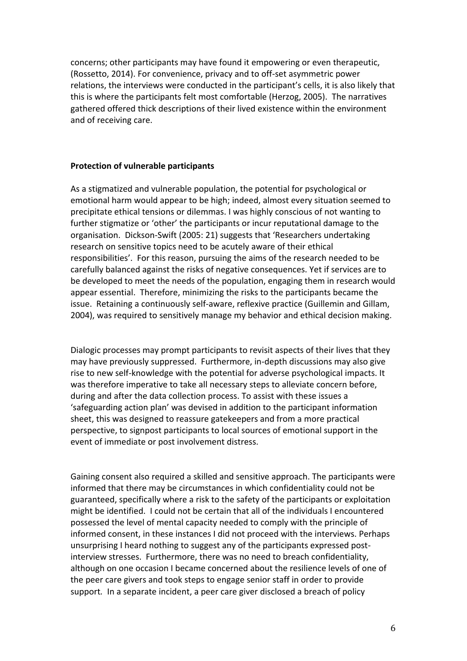concerns; other participants may have found it empowering or even therapeutic, (Rossetto, 2014). For convenience, privacy and to off-set asymmetric power relations, the interviews were conducted in the participant's cells, it is also likely that this is where the participants felt most comfortable (Herzog, 2005). The narratives gathered offered thick descriptions of their lived existence within the environment and of receiving care.

#### **Protection of vulnerable participants**

As a stigmatized and vulnerable population, the potential for psychological or emotional harm would appear to be high; indeed, almost every situation seemed to precipitate ethical tensions or dilemmas. I was highly conscious of not wanting to further stigmatize or 'other' the participants or incur reputational damage to the organisation. Dickson-Swift (2005: 21) suggests that 'Researchers undertaking research on sensitive topics need to be acutely aware of their ethical responsibilities'. For this reason, pursuing the aims of the research needed to be carefully balanced against the risks of negative consequences. Yet if services are to be developed to meet the needs of the population, engaging them in research would appear essential. Therefore, minimizing the risks to the participants became the issue. Retaining a continuously self-aware, reflexive practice (Guillemin and Gillam, 2004), was required to sensitively manage my behavior and ethical decision making.

Dialogic processes may prompt participants to revisit aspects of their lives that they may have previously suppressed. Furthermore, in-depth discussions may also give rise to new self-knowledge with the potential for adverse psychological impacts. It was therefore imperative to take all necessary steps to alleviate concern before, during and after the data collection process. To assist with these issues a 'safeguarding action plan' was devised in addition to the participant information sheet, this was designed to reassure gatekeepers and from a more practical perspective, to signpost participants to local sources of emotional support in the event of immediate or post involvement distress.

Gaining consent also required a skilled and sensitive approach. The participants were informed that there may be circumstances in which confidentiality could not be guaranteed, specifically where a risk to the safety of the participants or exploitation might be identified. I could not be certain that all of the individuals I encountered possessed the level of mental capacity needed to comply with the principle of informed consent, in these instances I did not proceed with the interviews. Perhaps unsurprising I heard nothing to suggest any of the participants expressed postinterview stresses. Furthermore, there was no need to breach confidentiality, although on one occasion I became concerned about the resilience levels of one of the peer care givers and took steps to engage senior staff in order to provide support*.* In a separate incident, a peer care giver disclosed a breach of policy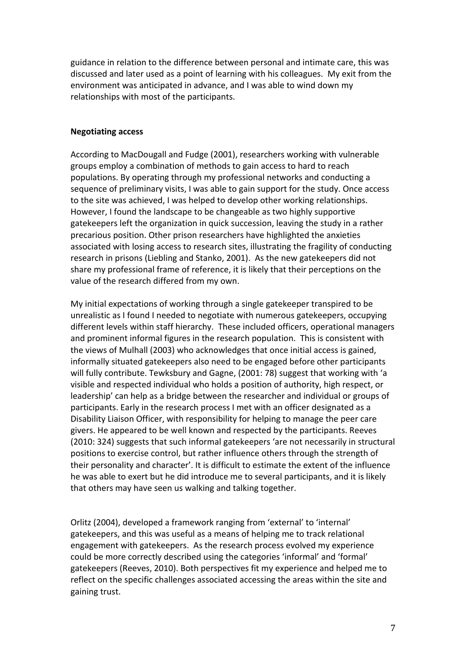guidance in relation to the difference between personal and intimate care, this was discussed and later used as a point of learning with his colleagues. My exit from the environment was anticipated in advance, and I was able to wind down my relationships with most of the participants.

## **Negotiating access**

According to MacDougall and Fudge (2001), researchers working with vulnerable groups employ a combination of methods to gain access to hard to reach populations. By operating through my professional networks and conducting a sequence of preliminary visits, I was able to gain support for the study. Once access to the site was achieved, I was helped to develop other working relationships. However, I found the landscape to be changeable as two highly supportive gatekeepers left the organization in quick succession, leaving the study in a rather precarious position. Other prison researchers have highlighted the anxieties associated with losing access to research sites, illustrating the fragility of conducting research in prisons (Liebling and Stanko, 2001). As the new gatekeepers did not share my professional frame of reference, it is likely that their perceptions on the value of the research differed from my own.

My initial expectations of working through a single gatekeeper transpired to be unrealistic as I found I needed to negotiate with numerous gatekeepers, occupying different levels within staff hierarchy. These included officers, operational managers and prominent informal figures in the research population. This is consistent with the views of Mulhall (2003) who acknowledges that once initial access is gained, informally situated gatekeepers also need to be engaged before other participants will fully contribute. Tewksbury and Gagne, (2001: 78) suggest that working with 'a visible and respected individual who holds a position of authority, high respect, or leadership' can help as a bridge between the researcher and individual or groups of participants. Early in the research process I met with an officer designated as a Disability Liaison Officer, with responsibility for helping to manage the peer care givers. He appeared to be well known and respected by the participants. Reeves (2010: 324) suggests that such informal gatekeepers 'are not necessarily in structural positions to exercise control, but rather influence others through the strength of their personality and character'. It is difficult to estimate the extent of the influence he was able to exert but he did introduce me to several participants, and it is likely that others may have seen us walking and talking together.

Orlitz (2004), developed a framework ranging from 'external' to 'internal' gatekeepers, and this was useful as a means of helping me to track relational engagement with gatekeepers. As the research process evolved my experience could be more correctly described using the categories 'informal' and 'formal' gatekeepers (Reeves, 2010). Both perspectives fit my experience and helped me to reflect on the specific challenges associated accessing the areas within the site and gaining trust.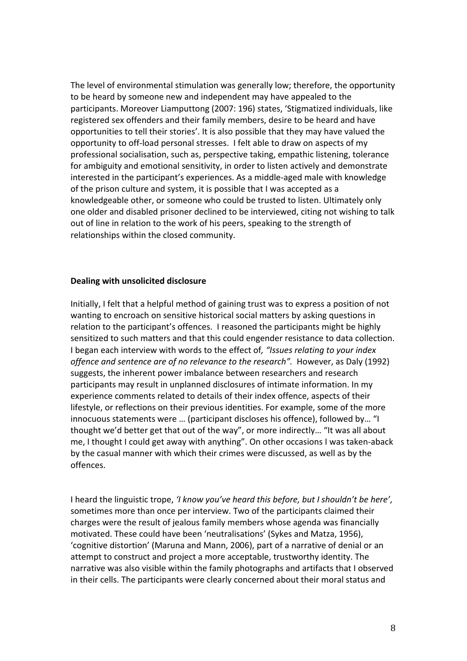The level of environmental stimulation was generally low; therefore, the opportunity to be heard by someone new and independent may have appealed to the participants. Moreover Liamputtong (2007: 196) states, 'Stigmatized individuals, like registered sex offenders and their family members, desire to be heard and have opportunities to tell their stories'. It is also possible that they may have valued the opportunity to off-load personal stresses. I felt able to draw on aspects of my professional socialisation, such as, perspective taking, empathic listening, tolerance for ambiguity and emotional sensitivity, in order to listen actively and demonstrate interested in the participant's experiences. As a middle-aged male with knowledge of the prison culture and system, it is possible that I was accepted as a knowledgeable other, or someone who could be trusted to listen. Ultimately only one older and disabled prisoner declined to be interviewed, citing not wishing to talk out of line in relation to the work of his peers, speaking to the strength of relationships within the closed community.

### **Dealing with unsolicited disclosure**

Initially, I felt that a helpful method of gaining trust was to express a position of not wanting to encroach on sensitive historical social matters by asking questions in relation to the participant's offences. I reasoned the participants might be highly sensitized to such matters and that this could engender resistance to data collection. I began each interview with words to the effect of*, "Issues relating to your index offence and sentence are of no relevance to the research".* However, as Daly (1992) suggests, the inherent power imbalance between researchers and research participants may result in unplanned disclosures of intimate information. In my experience comments related to details of their index offence, aspects of their lifestyle, or reflections on their previous identities. For example, some of the more innocuous statements were … (participant discloses his offence), followed by… "I thought we'd better get that out of the way", or more indirectly… "It was all about me, I thought I could get away with anything". On other occasions I was taken-aback by the casual manner with which their crimes were discussed, as well as by the offences.

I heard the linguistic trope, *'I know you've heard this before, but I shouldn't be here'*, sometimes more than once per interview. Two of the participants claimed their charges were the result of jealous family members whose agenda was financially motivated. These could have been 'neutralisations' (Sykes and Matza, 1956), 'cognitive distortion' (Maruna and Mann, 2006), part of a narrative of denial or an attempt to construct and project a more acceptable, trustworthy identity. The narrative was also visible within the family photographs and artifacts that I observed in their cells. The participants were clearly concerned about their moral status and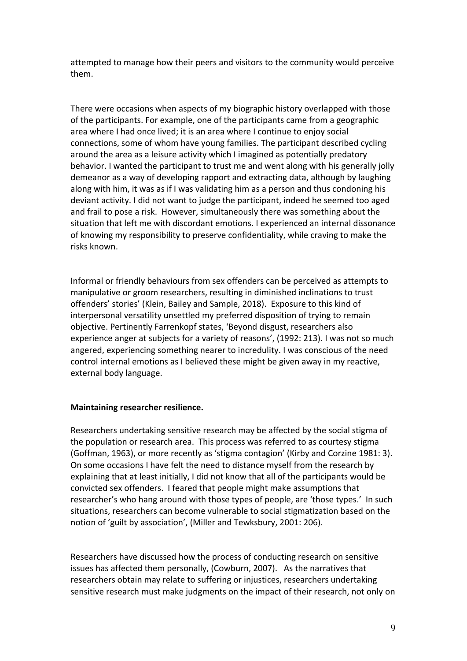attempted to manage how their peers and visitors to the community would perceive them.

There were occasions when aspects of my biographic history overlapped with those of the participants. For example, one of the participants came from a geographic area where I had once lived; it is an area where I continue to enjoy social connections, some of whom have young families. The participant described cycling around the area as a leisure activity which I imagined as potentially predatory behavior. I wanted the participant to trust me and went along with his generally jolly demeanor as a way of developing rapport and extracting data, although by laughing along with him, it was as if I was validating him as a person and thus condoning his deviant activity. I did not want to judge the participant, indeed he seemed too aged and frail to pose a risk. However, simultaneously there was something about the situation that left me with discordant emotions. I experienced an internal dissonance of knowing my responsibility to preserve confidentiality, while craving to make the risks known.

Informal or friendly behaviours from sex offenders can be perceived as attempts to manipulative or groom researchers, resulting in diminished inclinations to trust offenders' stories' (Klein, Bailey and Sample, 2018). Exposure to this kind of interpersonal versatility unsettled my preferred disposition of trying to remain objective. Pertinently Farrenkopf states, 'Beyond disgust, researchers also experience anger at subjects for a variety of reasons', (1992: 213). I was not so much angered, experiencing something nearer to incredulity. I was conscious of the need control internal emotions as I believed these might be given away in my reactive, external body language.

#### **Maintaining researcher resilience.**

Researchers undertaking sensitive research may be affected by the social stigma of the population or research area. This process was referred to as courtesy stigma (Goffman, 1963), or more recently as 'stigma contagion' (Kirby and Corzine 1981: 3). On some occasions I have felt the need to distance myself from the research by explaining that at least initially, I did not know that all of the participants would be convicted sex offenders. I feared that people might make assumptions that researcher's who hang around with those types of people, are 'those types.' In such situations, researchers can become vulnerable to social stigmatization based on the notion of 'guilt by association', (Miller and Tewksbury, 2001: 206).

Researchers have discussed how the process of conducting research on sensitive issues has affected them personally, (Cowburn, 2007). As the narratives that researchers obtain may relate to suffering or injustices, researchers undertaking sensitive research must make judgments on the impact of their research, not only on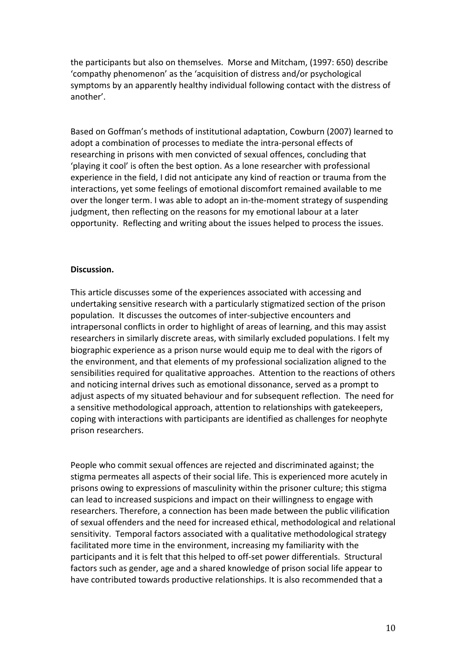the participants but also on themselves. Morse and Mitcham, (1997: 650) describe 'compathy phenomenon' as the 'acquisition of distress and/or psychological symptoms by an apparently healthy individual following contact with the distress of another'.

Based on Goffman's methods of institutional adaptation, Cowburn (2007) learned to adopt a combination of processes to mediate the intra-personal effects of researching in prisons with men convicted of sexual offences, concluding that 'playing it cool' is often the best option. As a lone researcher with professional experience in the field, I did not anticipate any kind of reaction or trauma from the interactions, yet some feelings of emotional discomfort remained available to me over the longer term. I was able to adopt an in-the-moment strategy of suspending judgment, then reflecting on the reasons for my emotional labour at a later opportunity. Reflecting and writing about the issues helped to process the issues.

## **Discussion.**

This article discusses some of the experiences associated with accessing and undertaking sensitive research with a particularly stigmatized section of the prison population. It discusses the outcomes of inter-subjective encounters and intrapersonal conflicts in order to highlight of areas of learning, and this may assist researchers in similarly discrete areas, with similarly excluded populations. I felt my biographic experience as a prison nurse would equip me to deal with the rigors of the environment, and that elements of my professional socialization aligned to the sensibilities required for qualitative approaches. Attention to the reactions of others and noticing internal drives such as emotional dissonance, served as a prompt to adjust aspects of my situated behaviour and for subsequent reflection. The need for a sensitive methodological approach, attention to relationships with gatekeepers, coping with interactions with participants are identified as challenges for neophyte prison researchers.

People who commit sexual offences are rejected and discriminated against; the stigma permeates all aspects of their social life. This is experienced more acutely in prisons owing to expressions of masculinity within the prisoner culture; this stigma can lead to increased suspicions and impact on their willingness to engage with researchers. Therefore, a connection has been made between the public vilification of sexual offenders and the need for increased ethical, methodological and relational sensitivity. Temporal factors associated with a qualitative methodological strategy facilitated more time in the environment, increasing my familiarity with the participants and it is felt that this helped to off-set power differentials. Structural factors such as gender, age and a shared knowledge of prison social life appear to have contributed towards productive relationships. It is also recommended that a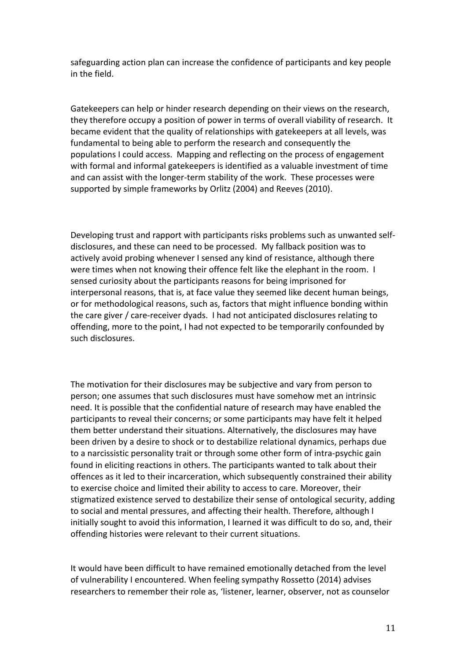safeguarding action plan can increase the confidence of participants and key people in the field.

Gatekeepers can help or hinder research depending on their views on the research, they therefore occupy a position of power in terms of overall viability of research. It became evident that the quality of relationships with gatekeepers at all levels, was fundamental to being able to perform the research and consequently the populations I could access. Mapping and reflecting on the process of engagement with formal and informal gatekeepers is identified as a valuable investment of time and can assist with the longer-term stability of the work. These processes were supported by simple frameworks by Orlitz (2004) and Reeves (2010).

Developing trust and rapport with participants risks problems such as unwanted selfdisclosures, and these can need to be processed. My fallback position was to actively avoid probing whenever I sensed any kind of resistance, although there were times when not knowing their offence felt like the elephant in the room. I sensed curiosity about the participants reasons for being imprisoned for interpersonal reasons, that is, at face value they seemed like decent human beings, or for methodological reasons, such as, factors that might influence bonding within the care giver / care-receiver dyads. I had not anticipated disclosures relating to offending, more to the point, I had not expected to be temporarily confounded by such disclosures.

The motivation for their disclosures may be subjective and vary from person to person; one assumes that such disclosures must have somehow met an intrinsic need. It is possible that the confidential nature of research may have enabled the participants to reveal their concerns; or some participants may have felt it helped them better understand their situations. Alternatively, the disclosures may have been driven by a desire to shock or to destabilize relational dynamics, perhaps due to a narcissistic personality trait or through some other form of intra-psychic gain found in eliciting reactions in others. The participants wanted to talk about their offences as it led to their incarceration, which subsequently constrained their ability to exercise choice and limited their ability to access to care. Moreover, their stigmatized existence served to destabilize their sense of ontological security, adding to social and mental pressures, and affecting their health. Therefore, although I initially sought to avoid this information, I learned it was difficult to do so, and, their offending histories were relevant to their current situations.

It would have been difficult to have remained emotionally detached from the level of vulnerability I encountered. When feeling sympathy Rossetto (2014) advises researchers to remember their role as, 'listener, learner, observer, not as counselor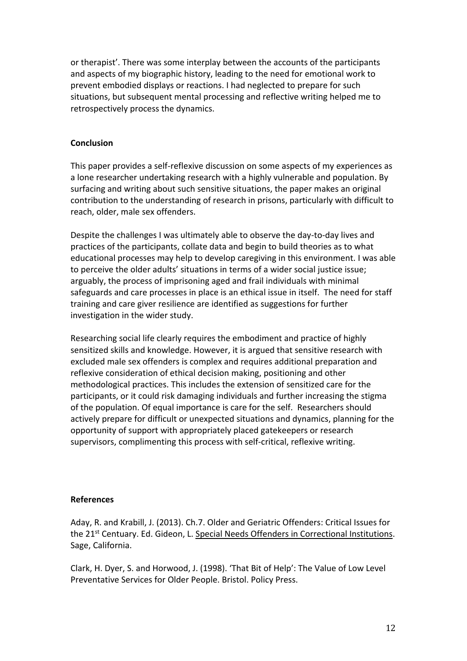or therapist'. There was some interplay between the accounts of the participants and aspects of my biographic history, leading to the need for emotional work to prevent embodied displays or reactions. I had neglected to prepare for such situations, but subsequent mental processing and reflective writing helped me to retrospectively process the dynamics.

## **Conclusion**

This paper provides a self-reflexive discussion on some aspects of my experiences as a lone researcher undertaking research with a highly vulnerable and population. By surfacing and writing about such sensitive situations, the paper makes an original contribution to the understanding of research in prisons, particularly with difficult to reach, older, male sex offenders.

Despite the challenges I was ultimately able to observe the day-to-day lives and practices of the participants, collate data and begin to build theories as to what educational processes may help to develop caregiving in this environment. I was able to perceive the older adults' situations in terms of a wider social justice issue; arguably, the process of imprisoning aged and frail individuals with minimal safeguards and care processes in place is an ethical issue in itself. The need for staff training and care giver resilience are identified as suggestions for further investigation in the wider study.

Researching social life clearly requires the embodiment and practice of highly sensitized skills and knowledge. However, it is argued that sensitive research with excluded male sex offenders is complex and requires additional preparation and reflexive consideration of ethical decision making, positioning and other methodological practices. This includes the extension of sensitized care for the participants, or it could risk damaging individuals and further increasing the stigma of the population. Of equal importance is care for the self. Researchers should actively prepare for difficult or unexpected situations and dynamics, planning for the opportunity of support with appropriately placed gatekeepers or research supervisors, complimenting this process with self-critical, reflexive writing.

#### **References**

Aday, R. and Krabill, J. (2013). Ch.7. Older and Geriatric Offenders: Critical Issues for the 21<sup>st</sup> Centuary. Ed. Gideon, L. Special Needs Offenders in Correctional Institutions. Sage, California.

Clark, H. Dyer, S. and Horwood, J. (1998). 'That Bit of Help': The Value of Low Level Preventative Services for Older People. Bristol. Policy Press.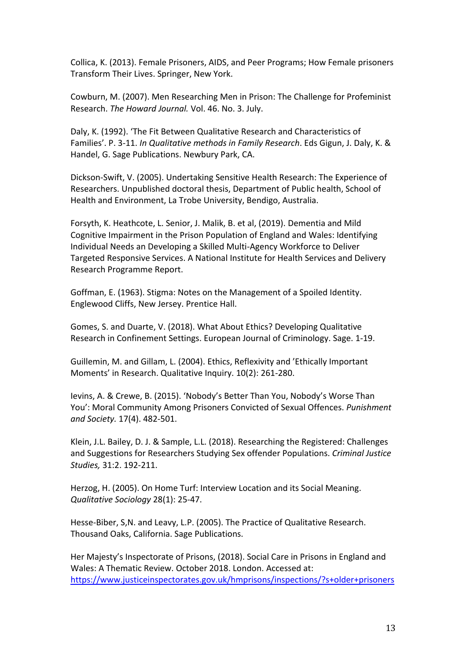Collica, K. (2013). Female Prisoners, AIDS, and Peer Programs; How Female prisoners Transform Their Lives. Springer, New York.

Cowburn, M. (2007). Men Researching Men in Prison: The Challenge for Profeminist Research. *The Howard Journal.* Vol. 46. No. 3. July.

Daly, K. (1992). 'The Fit Between Qualitative Research and Characteristics of Families'. P. 3-11. *In Qualitative methods in Family Research*. Eds Gigun, J. Daly, K. & Handel, G. Sage Publications. Newbury Park, CA.

Dickson-Swift, V. (2005). Undertaking Sensitive Health Research: The Experience of Researchers. Unpublished doctoral thesis, Department of Public health, School of Health and Environment, La Trobe University, Bendigo, Australia.

Forsyth, K. Heathcote, L. Senior, J. Malik, B. et al, (2019). Dementia and Mild Cognitive Impairment in the Prison Population of England and Wales: Identifying Individual Needs an Developing a Skilled Multi-Agency Workforce to Deliver Targeted Responsive Services. A National Institute for Health Services and Delivery Research Programme Report.

Goffman, E. (1963). Stigma: Notes on the Management of a Spoiled Identity. Englewood Cliffs, New Jersey. Prentice Hall.

Gomes, S. and Duarte, V. (2018). What About Ethics? Developing Qualitative Research in Confinement Settings. European Journal of Criminology. Sage. 1-19.

Guillemin, M. and Gillam, L. (2004). Ethics, Reflexivity and 'Ethically Important Moments' in Research. Qualitative Inquiry. 10(2): 261-280.

Ievins, A. & Crewe, B. (2015). 'Nobody's Better Than You, Nobody's Worse Than You': Moral Community Among Prisoners Convicted of Sexual Offences. *Punishment and Society.* 17(4). 482-501.

Klein, J.L. Bailey, D. J. & Sample, L.L. (2018). Researching the Registered: Challenges and Suggestions for Researchers Studying Sex offender Populations. *Criminal Justice Studies,* 31:2. 192-211.

Herzog, H. (2005). On Home Turf: Interview Location and its Social Meaning. *Qualitative Sociology* 28(1): 25-47.

Hesse-Biber, S,N. and Leavy, L.P. (2005). The Practice of Qualitative Research. Thousand Oaks, California. Sage Publications.

Her Majesty's Inspectorate of Prisons, (2018). Social Care in Prisons in England and Wales: A Thematic Review. October 2018. London. Accessed at: <https://www.justiceinspectorates.gov.uk/hmprisons/inspections/?s+older+prisoners>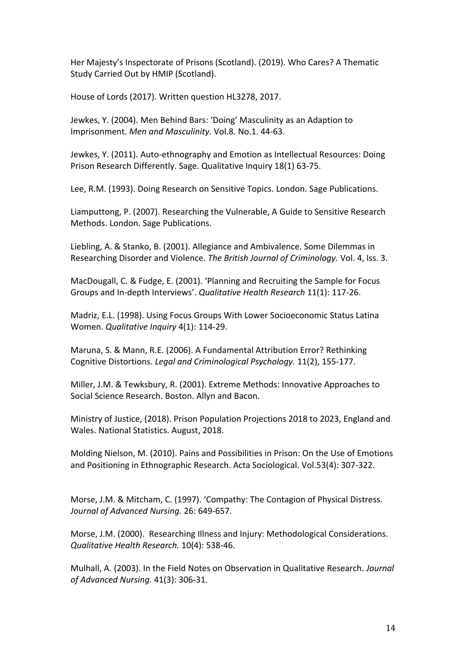Her Majesty's Inspectorate of Prisons (Scotland). (2019). Who Cares? A Thematic Study Carried Out by HMIP (Scotland).

House of Lords (2017). Written question HL3278, 2017.

Jewkes, Y. (2004). Men Behind Bars: 'Doing' Masculinity as an Adaption to Imprisonment. *Men and Masculinity.* Vol.8. No.1. 44-63.

Jewkes, Y. (2011). Auto-ethnography and Emotion as Intellectual Resources: Doing Prison Research Differently. Sage. Qualitative Inquiry 18(1) 63-75.

Lee, R.M. (1993). Doing Research on Sensitive Topics. London. Sage Publications.

Liamputtong, P. (2007). Researching the Vulnerable, A Guide to Sensitive Research Methods. London. Sage Publications.

Liebling, A. & Stanko, B. (2001). Allegiance and Ambivalence. Some Dilemmas in Researching Disorder and Violence. *The British Journal of Criminology.* Vol. 4, Iss. 3.

MacDougall, C. & Fudge, E. (2001). 'Planning and Recruiting the Sample for Focus Groups and In-depth Interviews'. *Qualitative Health Research* 11(1): 117-26.

Madriz, E.L. (1998). Using Focus Groups With Lower Socioeconomic Status Latina Women. *Qualitative Inquiry* 4(1): 114-29.

Maruna, S. & Mann, R.E. (2006). A Fundamental Attribution Error? Rethinking Cognitive Distortions. *Legal and Criminological Psychology.* 11(2), 155-177.

Miller, J.M. & Tewksbury, R. (2001). Extreme Methods: Innovative Approaches to Social Science Research. Boston. Allyn and Bacon.

Ministry of Justice, (2018). Prison Population Projections 2018 to 2023, England and Wales. National Statistics. August, 2018.

Molding Nielson, M. (2010). Pains and Possibilities in Prison: On the Use of Emotions and Positioning in Ethnographic Research. Acta Sociological. Vol.53(4): 307-322.

Morse, J.M. & Mitcham, C. (1997). 'Compathy: The Contagion of Physical Distress. *Journal of Advanced Nursing.* 26: 649-657.

Morse, J.M. (2000). Researching Illness and Injury: Methodological Considerations. *Qualitative Health Research.* 10(4): 538-46.

Mulhall, A. (2003). In the Field Notes on Observation in Qualitative Research. *Journal of Advanced Nursing.* 41(3): 306-31.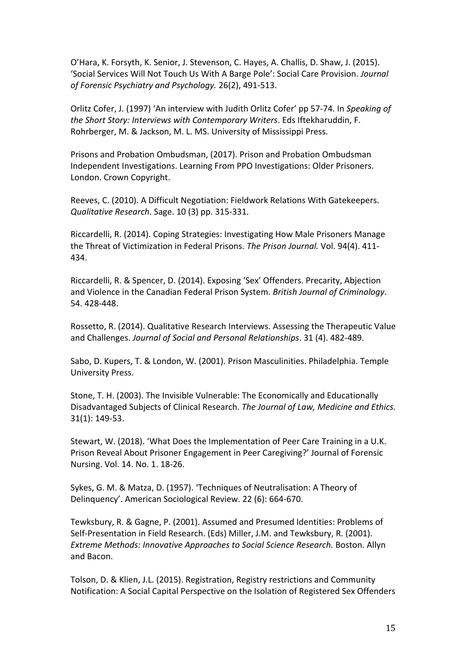O'Hara, K. Forsyth, K. Senior, J. Stevenson, C. Hayes, A. Challis, D. Shaw, J. (2015). 'Social Services Will Not Touch Us With A Barge Pole': Social Care Provision. *Journal of Forensic Psychiatry and Psychology.* 26(2), 491-513.

Orlitz Cofer, J. (1997) 'An interview with Judith Orlitz Cofer' pp 57-74. In *Speaking of the Short Story: Interviews with Contemporary Writers*. Eds Iftekharuddin, F. Rohrberger, M. & Jackson, M. L. MS. University of Mississippi Press.

Prisons and Probation Ombudsman, (2017). Prison and Probation Ombudsman Independent Investigations. Learning From PPO Investigations: Older Prisoners. London. Crown Copyright.

Reeves, C. (2010). A Difficult Negotiation: Fieldwork Relations With Gatekeepers. *Qualitative Research*. Sage. 10 (3) pp. 315-331.

Riccardelli, R. (2014). Coping Strategies: Investigating How Male Prisoners Manage the Threat of Victimization in Federal Prisons. *The Prison Journal.* Vol. 94(4). 411- 434.

Riccardelli, R. & Spencer, D. (2014). Exposing 'Sex' Offenders. Precarity, Abjection and Violence in the Canadian Federal Prison System. *British Journal of Criminology*. 54. 428-448.

Rossetto, R. (2014). Qualitative Research Interviews. Assessing the Therapeutic Value and Challenges. *Journal of Social and Personal Relationships*. 31 (4). 482-489.

Sabo, D. Kupers, T. & London, W. (2001). Prison Masculinities. Philadelphia. Temple University Press.

Stone, T. H. (2003). The Invisible Vulnerable: The Economically and Educationally Disadvantaged Subjects of Clinical Research. *The Journal of Law, Medicine and Ethics.*  31(1): 149-53.

Stewart, W. (2018). 'What Does the Implementation of Peer Care Training in a U.K. Prison Reveal About Prisoner Engagement in Peer Caregiving?' Journal of Forensic Nursing. Vol. 14. No. 1. 18-26.

Sykes, G. M. & Matza, D. (1957). 'Techniques of Neutralisation: A Theory of Delinquency'. American Sociological Review. 22 (6): 664-670.

Tewksbury, R. & Gagne, P. (2001). Assumed and Presumed Identities: Problems of Self-Presentation in Field Research. (Eds) Miller, J.M. and Tewksbury, R. (2001). *Extreme Methods: Innovative Approaches to Social Science Research.* Boston. Allyn and Bacon.

Tolson, D. & Klien, J.L. (2015). Registration, Registry restrictions and Community Notification: A Social Capital Perspective on the Isolation of Registered Sex Offenders